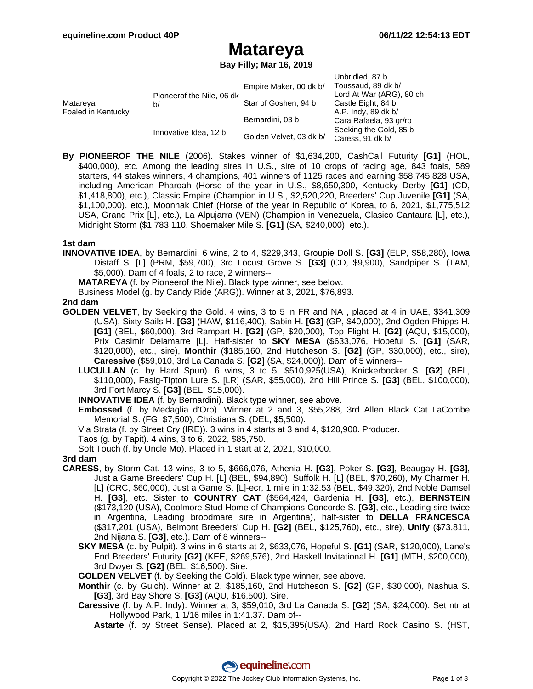## **Matareya**

**Bay Filly; Mar 16, 2019**

|                                |                                 |                         | Unbridled, 87 b          |
|--------------------------------|---------------------------------|-------------------------|--------------------------|
| Matareya<br>Foaled in Kentucky | Pioneerof the Nile, 06 dk<br>b/ | Empire Maker, 00 dk b/  | Toussaud, 89 dk b/       |
|                                |                                 |                         | Lord At War (ARG), 80 ch |
|                                |                                 | Star of Goshen, 94 b    | Castle Eight, 84 b       |
|                                |                                 |                         | A.P. Indy, 89 dk b/      |
|                                | Innovative Idea, 12 b           | Bernardini, 03 b        | Cara Rafaela, 93 gr/ro   |
|                                |                                 | Golden Velvet, 03 dk b/ | Seeking the Gold, 85 b   |
|                                |                                 |                         | Caress, 91 dk b/         |

**By PIONEEROF THE NILE** (2006). Stakes winner of \$1,634,200, CashCall Futurity **[G1]** (HOL, \$400,000), etc. Among the leading sires in U.S., sire of 10 crops of racing age, 843 foals, 589 starters, 44 stakes winners, 4 champions, 401 winners of 1125 races and earning \$58,745,828 USA, including American Pharoah (Horse of the year in U.S., \$8,650,300, Kentucky Derby **[G1]** (CD, \$1,418,800), etc.), Classic Empire (Champion in U.S., \$2,520,220, Breeders' Cup Juvenile **[G1]** (SA, \$1,100,000), etc.), Moonhak Chief (Horse of the year in Republic of Korea, to 6, 2021, \$1,775,512 USA, Grand Prix [L], etc.), La Alpujarra (VEN) (Champion in Venezuela, Clasico Cantaura [L], etc.), Midnight Storm (\$1,783,110, Shoemaker Mile S. **[G1]** (SA, \$240,000), etc.).

### **1st dam**

- **INNOVATIVE IDEA**, by Bernardini. 6 wins, 2 to 4, \$229,343, Groupie Doll S. **[G3]** (ELP, \$58,280), Iowa Distaff S. [L] (PRM, \$59,700), 3rd Locust Grove S. **[G3]** (CD, \$9,900), Sandpiper S. (TAM, \$5,000). Dam of 4 foals, 2 to race, 2 winners--
	- **MATAREYA** (f. by Pioneerof the Nile). Black type winner, see below.
	- Business Model (g. by Candy Ride (ARG)). Winner at 3, 2021, \$76,893.

### **2nd dam**

- **GOLDEN VELVET**, by Seeking the Gold. 4 wins, 3 to 5 in FR and NA , placed at 4 in UAE, \$341,309 (USA), Sixty Sails H. **[G3]** (HAW, \$116,400), Sabin H. **[G3]** (GP, \$40,000), 2nd Ogden Phipps H. **[G1]** (BEL, \$60,000), 3rd Rampart H. **[G2]** (GP, \$20,000), Top Flight H. **[G2]** (AQU, \$15,000), Prix Casimir Delamarre [L]. Half-sister to **SKY MESA** (\$633,076, Hopeful S. **[G1]** (SAR, \$120,000), etc., sire), **Monthir** (\$185,160, 2nd Hutcheson S. **[G2]** (GP, \$30,000), etc., sire), **Caressive** (\$59,010, 3rd La Canada S. **[G2]** (SA, \$24,000)). Dam of 5 winners--
	- **LUCULLAN** (c. by Hard Spun). 6 wins, 3 to 5, \$510,925(USA), Knickerbocker S. **[G2]** (BEL, \$110,000), Fasig-Tipton Lure S. [LR] (SAR, \$55,000), 2nd Hill Prince S. **[G3]** (BEL, \$100,000), 3rd Fort Marcy S. **[G3]** (BEL, \$15,000).
	- **INNOVATIVE IDEA** (f. by Bernardini). Black type winner, see above.
	- **Embossed** (f. by Medaglia d'Oro). Winner at 2 and 3, \$55,288, 3rd Allen Black Cat LaCombe Memorial S. (FG, \$7,500), Christiana S. (DEL, \$5,500).
	- Via Strata (f. by Street Cry (IRE)). 3 wins in 4 starts at 3 and 4, \$120,900. Producer.
	- Taos (g. by Tapit). 4 wins, 3 to 6, 2022, \$85,750.
	- Soft Touch (f. by Uncle Mo). Placed in 1 start at 2, 2021, \$10,000.

#### **3rd dam**

- **CARESS**, by Storm Cat. 13 wins, 3 to 5, \$666,076, Athenia H. **[G3]**, Poker S. **[G3]**, Beaugay H. **[G3]**, Just a Game Breeders' Cup H. [L] (BEL, \$94,890), Suffolk H. [L] (BEL, \$70,260), My Charmer H. [L] (CRC, \$60,000), Just a Game S. [L]-ecr, 1 mile in 1:32.53 (BEL, \$49,320), 2nd Noble Damsel H. **[G3]**, etc. Sister to **COUNTRY CAT** (\$564,424, Gardenia H. **[G3]**, etc.), **BERNSTEIN** (\$173,120 (USA), Coolmore Stud Home of Champions Concorde S. **[G3]**, etc., Leading sire twice in Argentina, Leading broodmare sire in Argentina), half-sister to **DELLA FRANCESCA** (\$317,201 (USA), Belmont Breeders' Cup H. **[G2]** (BEL, \$125,760), etc., sire), **Unify** (\$73,811, 2nd Nijana S. **[G3]**, etc.). Dam of 8 winners--
	- **SKY MESA** (c. by Pulpit). 3 wins in 6 starts at 2, \$633,076, Hopeful S. **[G1]** (SAR, \$120,000), Lane's End Breeders' Futurity **[G2]** (KEE, \$269,576), 2nd Haskell Invitational H. **[G1]** (MTH, \$200,000), 3rd Dwyer S. **[G2]** (BEL, \$16,500). Sire.
	- **GOLDEN VELVET** (f. by Seeking the Gold). Black type winner, see above.
	- **Monthir** (c. by Gulch). Winner at 2, \$185,160, 2nd Hutcheson S. **[G2]** (GP, \$30,000), Nashua S. **[G3]**, 3rd Bay Shore S. **[G3]** (AQU, \$16,500). Sire.
	- **Caressive** (f. by A.P. Indy). Winner at 3, \$59,010, 3rd La Canada S. **[G2]** (SA, \$24,000). Set ntr at Hollywood Park, 1 1/16 miles in 1:41.37. Dam of--

**Astarte** (f. by Street Sense). Placed at 2, \$15,395(USA), 2nd Hard Rock Casino S. (HST,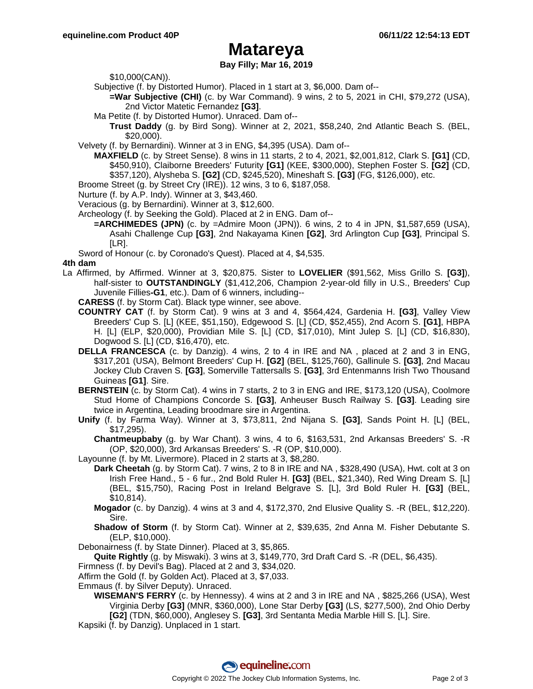### **Matareya**

### **Bay Filly; Mar 16, 2019**

\$10,000(CAN)).

Subjective (f. by Distorted Humor). Placed in 1 start at 3, \$6,000. Dam of--

**=War Subjective (CHI)** (c. by War Command). 9 wins, 2 to 5, 2021 in CHI, \$79,272 (USA), 2nd Victor Matetic Fernandez **[G3]**.

Ma Petite (f. by Distorted Humor). Unraced. Dam of--

**Trust Daddy** (g. by Bird Song). Winner at 2, 2021, \$58,240, 2nd Atlantic Beach S. (BEL, \$20,000).

Velvety (f. by Bernardini). Winner at 3 in ENG, \$4,395 (USA). Dam of--

**MAXFIELD** (c. by Street Sense). 8 wins in 11 starts, 2 to 4, 2021, \$2,001,812, Clark S. **[G1]** (CD, \$450,910), Claiborne Breeders' Futurity **[G1]** (KEE, \$300,000), Stephen Foster S. **[G2]** (CD, \$357,120), Alysheba S. **[G2]** (CD, \$245,520), Mineshaft S. **[G3]** (FG, \$126,000), etc.

Broome Street (g. by Street Cry (IRE)). 12 wins, 3 to 6, \$187,058.

Nurture (f. by A.P. Indy). Winner at 3, \$43,460.

Veracious (g. by Bernardini). Winner at 3, \$12,600.

Archeology (f. by Seeking the Gold). Placed at 2 in ENG. Dam of--

**=ARCHIMEDES (JPN)** (c. by =Admire Moon (JPN)). 6 wins, 2 to 4 in JPN, \$1,587,659 (USA), Asahi Challenge Cup **[G3]**, 2nd Nakayama Kinen **[G2]**, 3rd Arlington Cup **[G3]**, Principal S. [LR].

Sword of Honour (c. by Coronado's Quest). Placed at 4, \$4,535.

#### **4th dam**

La Affirmed, by Affirmed. Winner at 3, \$20,875. Sister to **LOVELIER** (\$91,562, Miss Grillo S. **[G3]**), half-sister to **OUTSTANDINGLY** (\$1,412,206, Champion 2-year-old filly in U.S., Breeders' Cup Juvenile Fillies**-G1**, etc.). Dam of 6 winners, including--

**CARESS** (f. by Storm Cat). Black type winner, see above.

- **COUNTRY CAT** (f. by Storm Cat). 9 wins at 3 and 4, \$564,424, Gardenia H. **[G3]**, Valley View Breeders' Cup S. [L] (KEE, \$51,150), Edgewood S. [L] (CD, \$52,455), 2nd Acorn S. **[G1]**, HBPA H. [L] (ELP, \$20,000), Providian Mile S. [L] (CD, \$17,010), Mint Julep S. [L] (CD, \$16,830), Dogwood S. [L] (CD, \$16,470), etc.
- **DELLA FRANCESCA** (c. by Danzig). 4 wins, 2 to 4 in IRE and NA , placed at 2 and 3 in ENG, \$317,201 (USA), Belmont Breeders' Cup H. **[G2]** (BEL, \$125,760), Gallinule S. **[G3]**, 2nd Macau Jockey Club Craven S. **[G3]**, Somerville Tattersalls S. **[G3]**, 3rd Entenmanns Irish Two Thousand Guineas **[G1]**. Sire.

**BERNSTEIN** (c. by Storm Cat). 4 wins in 7 starts, 2 to 3 in ENG and IRE, \$173,120 (USA), Coolmore Stud Home of Champions Concorde S. **[G3]**, Anheuser Busch Railway S. **[G3]**. Leading sire twice in Argentina, Leading broodmare sire in Argentina.

**Unify** (f. by Farma Way). Winner at 3, \$73,811, 2nd Nijana S. **[G3]**, Sands Point H. [L] (BEL, \$17,295).

**Chantmeupbaby** (g. by War Chant). 3 wins, 4 to 6, \$163,531, 2nd Arkansas Breeders' S. -R (OP, \$20,000), 3rd Arkansas Breeders' S. -R (OP, \$10,000).

Layounne (f. by Mt. Livermore). Placed in 2 starts at 3, \$8,280.

- **Dark Cheetah** (g. by Storm Cat). 7 wins, 2 to 8 in IRE and NA , \$328,490 (USA), Hwt. colt at 3 on Irish Free Hand., 5 - 6 fur., 2nd Bold Ruler H. **[G3]** (BEL, \$21,340), Red Wing Dream S. [L] (BEL, \$15,750), Racing Post in Ireland Belgrave S. [L], 3rd Bold Ruler H. **[G3]** (BEL, \$10,814).
	- **Mogador** (c. by Danzig). 4 wins at 3 and 4, \$172,370, 2nd Elusive Quality S. -R (BEL, \$12,220). Sire.
	- **Shadow of Storm** (f. by Storm Cat). Winner at 2, \$39,635, 2nd Anna M. Fisher Debutante S. (ELP, \$10,000).

Debonairness (f. by State Dinner). Placed at 3, \$5,865.

**Quite Rightly** (g. by Miswaki). 3 wins at 3, \$149,770, 3rd Draft Card S. -R (DEL, \$6,435).

Firmness (f. by Devil's Bag). Placed at 2 and 3, \$34,020.

Affirm the Gold (f. by Golden Act). Placed at 3, \$7,033.

Emmaus (f. by Silver Deputy). Unraced.

**WISEMAN'S FERRY** (c. by Hennessy). 4 wins at 2 and 3 in IRE and NA , \$825,266 (USA), West Virginia Derby **[G3]** (MNR, \$360,000), Lone Star Derby **[G3]** (LS, \$277,500), 2nd Ohio Derby **[G2]** (TDN, \$60,000), Anglesey S. **[G3]**, 3rd Sentanta Media Marble Hill S. [L]. Sire.

Kapsiki (f. by Danzig). Unplaced in 1 start.